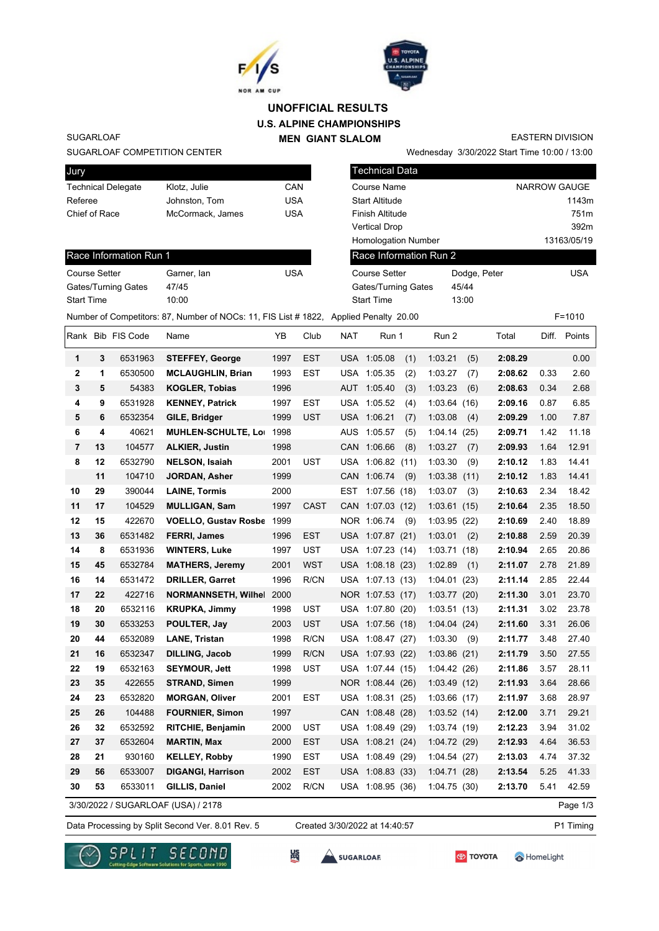



## **U.S. ALPINE CHAMPIONSHIPS MEN GIANT SLALOM UNOFFICIAL RESULTS**

SUGARLOAF

### SUGARLOAF COMPETITION CENTER

Wednesday 3/30/2022 Start Time 10:00 / 13:00 EASTERN DIVISION

| Jury                 |    |                           |                                                                                       |            |             |             | Technical Data             |      |                        |                     |              |       |             |
|----------------------|----|---------------------------|---------------------------------------------------------------------------------------|------------|-------------|-------------|----------------------------|------|------------------------|---------------------|--------------|-------|-------------|
|                      |    | <b>Technical Delegate</b> | Klotz, Julie                                                                          | CAN        |             | Course Name |                            |      |                        | <b>NARROW GAUGE</b> |              |       |             |
| Referee              |    |                           | Johnston, Tom                                                                         | <b>USA</b> |             |             | <b>Start Altitude</b>      |      |                        |                     |              |       | 1143m       |
| Chief of Race        |    |                           | McCormack, James                                                                      | <b>USA</b> |             |             | Finish Altitude            |      |                        |                     |              |       | 751m        |
|                      |    |                           |                                                                                       |            |             |             | <b>Vertical Drop</b>       |      |                        |                     |              |       | 392m        |
|                      |    |                           |                                                                                       |            |             |             | <b>Homologation Number</b> |      |                        |                     |              |       | 13163/05/19 |
|                      |    | Race Information Run 1    |                                                                                       |            |             |             |                            |      | Race Information Run 2 |                     |              |       |             |
| <b>Course Setter</b> |    |                           | Garner, lan                                                                           | <b>USA</b> |             |             | <b>Course Setter</b>       |      |                        |                     | Dodge, Peter |       | <b>USA</b>  |
|                      |    | Gates/Turning Gates       | 47/45                                                                                 |            |             |             | Gates/Turning Gates        |      |                        | 45/44               |              |       |             |
| <b>Start Time</b>    |    |                           | 10:00                                                                                 |            |             |             | <b>Start Time</b>          |      |                        | 13:00               |              |       |             |
|                      |    |                           | Number of Competitors: 87, Number of NOCs: 11, FIS List # 1822, Applied Penalty 20.00 |            |             |             |                            |      |                        |                     |              |       | $F = 1010$  |
|                      |    | Rank Bib FIS Code         | Name                                                                                  | YB         | Club        | NAT         | Run 1                      |      | Run 2                  |                     | Total        | Diff. | Points      |
| 1                    | 3  | 6531963                   | <b>STEFFEY, George</b>                                                                | 1997       | EST         |             | USA 1:05.08                | (1)  | 1:03.21                | (5)                 | 2:08.29      |       | 0.00        |
| 2                    | 1  | 6530500                   | <b>MCLAUGHLIN, Brian</b>                                                              | 1993       | EST         |             | USA 1:05.35                | (2)  | 1:03.27                | (7)                 | 2:08.62      | 0.33  | 2.60        |
| 3                    | 5  | 54383                     | <b>KOGLER, Tobias</b>                                                                 | 1996       |             |             | AUT 1:05.40                | (3)  | 1:03.23                | (6)                 | 2:08.63      | 0.34  | 2.68        |
| 4                    | 9  | 6531928                   | <b>KENNEY, Patrick</b>                                                                | 1997       | EST         |             | USA 1:05.52                | (4)  | 1:03.64(16)            |                     | 2:09.16      | 0.87  | 6.85        |
| 5                    | 6  | 6532354                   | GILE, Bridger                                                                         | 1999       | UST         |             | USA 1:06.21                | (7)  | 1:03.08                | (4)                 | 2:09.29      | 1.00  | 7.87        |
| 6                    | 4  | 40621                     | <b>MUHLEN-SCHULTE, Lo</b>                                                             | 1998       |             |             | AUS 1:05.57                | (5)  | 1:04.14(25)            |                     | 2:09.71      | 1.42  | 11.18       |
| 7                    | 13 | 104577                    | <b>ALKIER, Justin</b>                                                                 | 1998       |             |             | CAN 1:06.66                | (8)  | 1:03.27                | (7)                 | 2:09.93      | 1.64  | 12.91       |
| 8                    | 12 | 6532790                   | <b>NELSON, Isaiah</b>                                                                 | 2001       | UST         |             | USA 1:06.82                | (11) | 1:03.30                | (9)                 | 2:10.12      | 1.83  | 14.41       |
|                      | 11 | 104710                    | JORDAN, Asher                                                                         | 1999       |             |             | CAN 1:06.74                | (9)  | 1:03.38                | (11)                | 2:10.12      | 1.83  | 14.41       |
| 10                   | 29 | 390044                    | <b>LAINE, Tormis</b>                                                                  | 2000       |             | EST         | 1:07.56(18)                |      | 1:03.07                | (3)                 | 2:10.63      | 2.34  | 18.42       |
| 11                   | 17 | 104529                    | <b>MULLIGAN, Sam</b>                                                                  | 1997       | <b>CAST</b> |             | CAN 1:07.03 (12)           |      | 1:03.61(15)            |                     | 2:10.64      | 2.35  | 18.50       |
| 12                   | 15 | 422670                    | <b>VOELLO, Gustav Rosbe</b>                                                           | 1999       |             |             | NOR 1:06.74                | (9)  | 1:03.95(22)            |                     | 2:10.69      | 2.40  | 18.89       |
| 13                   | 36 | 6531482                   | <b>FERRI, James</b>                                                                   | 1996       | <b>EST</b>  |             | USA 1:07.87 (21)           |      | 1:03.01                | (2)                 | 2:10.88      | 2.59  | 20.39       |
| 14                   | 8  | 6531936                   | <b>WINTERS, Luke</b>                                                                  | 1997       | <b>UST</b>  |             | USA 1:07.23 (14)           |      | 1:03.71                | (18)                | 2:10.94      | 2.65  | 20.86       |
| 15                   | 45 | 6532784                   | <b>MATHERS, Jeremy</b>                                                                | 2001       | <b>WST</b>  |             | USA 1:08.18 (23)           |      | 1:02.89                | (1)                 | 2:11.07      | 2.78  | 21.89       |
| 16                   | 14 | 6531472                   | <b>DRILLER, Garret</b>                                                                | 1996       | R/CN        |             | USA 1:07.13 (13)           |      | 1:04.01(23)            |                     | 2:11.14      | 2.85  | 22.44       |
| 17                   | 22 | 422716                    | <b>NORMANNSETH, Wilhel</b>                                                            | 2000       |             |             | NOR 1:07.53 (17)           |      | 1:03.77(20)            |                     | 2:11.30      | 3.01  | 23.70       |
| 18                   | 20 | 6532116                   | <b>KRUPKA, Jimmy</b>                                                                  | 1998       | UST         |             | USA 1:07.80 (20)           |      | 1:03.51(13)            |                     | 2:11.31      | 3.02  | 23.78       |
| 19                   | 30 | 6533253                   | POULTER, Jay                                                                          | 2003       | UST         |             | USA 1:07.56 (18)           |      | 1:04.04(24)            |                     | 2:11.60      | 3.31  | 26.06       |
| 20                   | 44 | 6532089                   | <b>LANE, Tristan</b>                                                                  | 1998       | R/CN        |             | USA 1:08.47 (27)           |      | 1:03.30                | (9)                 | 2:11.77      | 3.48  | 27.40       |
| 21                   | 16 | 6532347                   | <b>DILLING, Jacob</b>                                                                 | 1999       | R/CN        |             | USA 1:07.93 (22)           |      | 1:03.86(21)            |                     | 2:11.79      | 3.50  | 27.55       |
| 22                   | 19 | 6532163                   | <b>SEYMOUR, Jett</b>                                                                  | 1998       | <b>UST</b>  |             | USA 1:07.44 (15)           |      | 1:04.42(26)            |                     | 2:11.86      | 3.57  | 28.11       |
| 23                   | 35 | 422655                    | <b>STRAND, Simen</b>                                                                  | 1999       |             |             | NOR 1:08.44 (26)           |      | 1:03.49(12)            |                     | 2:11.93      | 3.64  | 28.66       |
| 24                   | 23 | 6532820                   | <b>MORGAN, Oliver</b>                                                                 | 2001       | <b>EST</b>  |             | USA 1:08.31 (25)           |      | 1:03.66(17)            |                     | 2:11.97      | 3.68  | 28.97       |
| 25                   | 26 | 104488                    | <b>FOURNIER, Simon</b>                                                                | 1997       |             |             | CAN 1:08.48 (28)           |      | 1:03.52(14)            |                     | 2:12.00      | 3.71  | 29.21       |
| 26                   | 32 | 6532592                   | RITCHIE, Benjamin                                                                     | 2000       | UST         |             | USA 1:08.49 (29)           |      | 1:03.74 (19)           |                     | 2:12.23      | 3.94  | 31.02       |
| 27                   | 37 | 6532604                   | <b>MARTIN, Max</b>                                                                    | 2000       | <b>EST</b>  |             | USA 1:08.21 (24)           |      | 1:04.72(29)            |                     | 2:12.93      | 4.64  | 36.53       |
| 28                   | 21 | 930160                    | <b>KELLEY, Robby</b>                                                                  | 1990       | <b>EST</b>  |             | USA 1:08.49 (29)           |      | 1:04.54(27)            |                     | 2:13.03      | 4.74  | 37.32       |
| 29                   | 56 | 6533007                   | <b>DIGANGI, Harrison</b>                                                              | 2002       | EST         |             | USA 1:08.83 (33)           |      | 1:04.71(28)            |                     | 2:13.54      | 5.25  | 41.33       |
| 30                   | 53 | 6533011                   | GILLIS, Daniel                                                                        | 2002       | R/CN        |             | USA 1:08.95 (36)           |      | 1:04.75(30)            |                     | 2:13.70      | 5.41  | 42.59       |
|                      |    |                           | 3/30/2022 / SUGARLOAF (USA) / 2178                                                    |            |             |             |                            |      |                        |                     |              |       | Page 1/3    |

Data Processing by Split Second Ver. 8.01 Rev. 5 Created 3/30/2022 at 14:40:57 P1 Timing

Created 3/30/2022 at 14:40:57







**SES** 

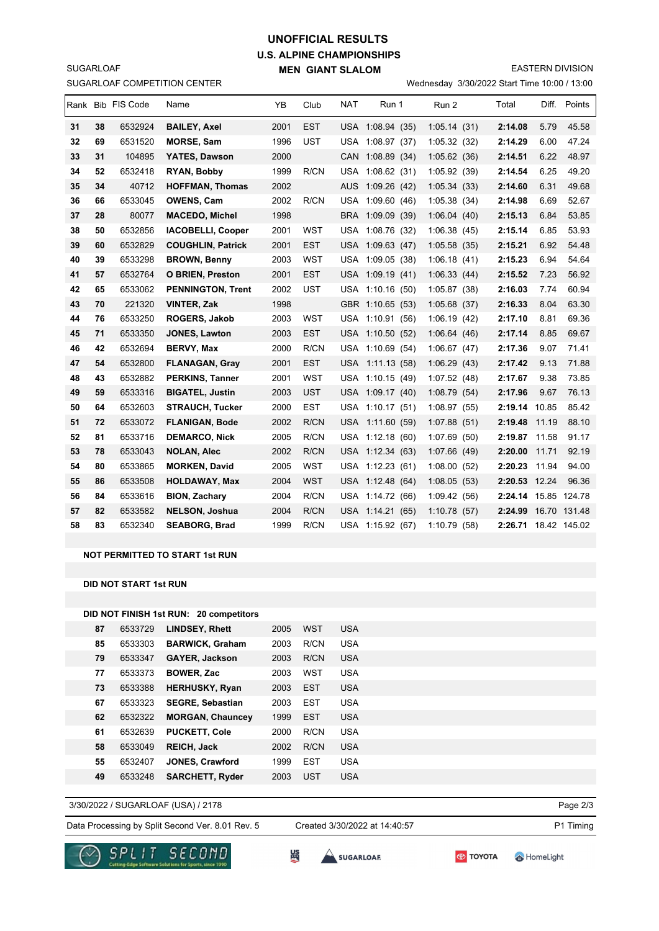## **U.S. ALPINE CHAMPIONSHIPS MEN GIANT SLALOM UNOFFICIAL RESULTS**

EASTERN DIVISION

SUGARLOAF COMPETITION CENTER

SUGARLOAF

Wednesday 3/30/2022 Start Time 10:00 / 13:00

|    |    | Rank Bib FIS Code | Name                     | YB   | Club       | <b>NAT</b> | Run 1            | Run 2        | Total                | Diff. | Points       |
|----|----|-------------------|--------------------------|------|------------|------------|------------------|--------------|----------------------|-------|--------------|
| 31 | 38 | 6532924           | <b>BAILEY, Axel</b>      | 2001 | <b>EST</b> |            | USA 1:08.94 (35) | 1:05.14(31)  | 2:14.08              | 5.79  | 45.58        |
| 32 | 69 | 6531520           | <b>MORSE, Sam</b>        | 1996 | <b>UST</b> |            | USA 1:08.97 (37) | 1:05.32(32)  | 2:14.29              | 6.00  | 47.24        |
| 33 | 31 | 104895            | YATES, Dawson            | 2000 |            | <b>CAN</b> | 1:08.89(34)      | 1:05.62(36)  | 2:14.51              | 6.22  | 48.97        |
| 34 | 52 | 6532418           | RYAN, Bobby              | 1999 | R/CN       |            | USA 1:08.62 (31) | 1:05.92 (39) | 2:14.54              | 6.25  | 49.20        |
| 35 | 34 | 40712             | <b>HOFFMAN, Thomas</b>   | 2002 |            | <b>AUS</b> | 1:09.26(42)      | 1:05.34(33)  | 2:14.60              | 6.31  | 49.68        |
| 36 | 66 | 6533045           | <b>OWENS, Cam</b>        | 2002 | R/CN       |            | USA 1:09.60 (46) | 1:05.38(34)  | 2:14.98              | 6.69  | 52.67        |
| 37 | 28 | 80077             | <b>MACEDO, Michel</b>    | 1998 |            |            | BRA 1:09.09 (39) | 1:06.04(40)  | 2:15.13              | 6.84  | 53.85        |
| 38 | 50 | 6532856           | <b>IACOBELLI, Cooper</b> | 2001 | <b>WST</b> |            | USA 1:08.76 (32) | 1:06.38(45)  | 2:15.14              | 6.85  | 53.93        |
| 39 | 60 | 6532829           | <b>COUGHLIN, Patrick</b> | 2001 | <b>EST</b> |            | USA 1:09.63 (47) | 1:05.58(35)  | 2:15.21              | 6.92  | 54.48        |
| 40 | 39 | 6533298           | <b>BROWN, Benny</b>      | 2003 | <b>WST</b> | USA        | 1:09.05(38)      | 1:06.18(41)  | 2:15.23              | 6.94  | 54.64        |
| 41 | 57 | 6532764           | <b>O BRIEN, Preston</b>  | 2001 | <b>EST</b> |            | USA 1:09.19 (41) | 1:06.33(44)  | 2:15.52              | 7.23  | 56.92        |
| 42 | 65 | 6533062           | <b>PENNINGTON, Trent</b> | 2002 | <b>UST</b> |            | USA 1:10.16 (50) | 1:05.87(38)  | 2:16.03              | 7.74  | 60.94        |
| 43 | 70 | 221320            | <b>VINTER, Zak</b>       | 1998 |            |            | GBR 1:10.65 (53) | 1:05.68(37)  | 2:16.33              | 8.04  | 63.30        |
| 44 | 76 | 6533250           | ROGERS, Jakob            | 2003 | <b>WST</b> | USA        | 1:10.91(56)      | 1:06.19(42)  | 2:17.10              | 8.81  | 69.36        |
| 45 | 71 | 6533350           | <b>JONES, Lawton</b>     | 2003 | <b>EST</b> |            | USA 1:10.50 (52) | 1:06.64(46)  | 2:17.14              | 8.85  | 69.67        |
| 46 | 42 | 6532694           | <b>BERVY, Max</b>        | 2000 | R/CN       | USA        | 1:10.69(54)      | 1:06.67(47)  | 2:17.36              | 9.07  | 71.41        |
| 47 | 54 | 6532800           | <b>FLANAGAN, Gray</b>    | 2001 | <b>EST</b> |            | USA 1:11.13 (58) | 1:06.29(43)  | 2:17.42              | 9.13  | 71.88        |
| 48 | 43 | 6532882           | <b>PERKINS, Tanner</b>   | 2001 | <b>WST</b> | USA        | 1:10.15(49)      | 1:07.52(48)  | 2:17.67              | 9.38  | 73.85        |
| 49 | 59 | 6533316           | <b>BIGATEL, Justin</b>   | 2003 | <b>UST</b> |            | USA 1:09.17 (40) | 1:08.79(54)  | 2:17.96              | 9.67  | 76.13        |
| 50 | 64 | 6532603           | <b>STRAUCH, Tucker</b>   | 2000 | <b>EST</b> |            | USA 1:10.17 (51) | 1:08.97(55)  | 2:19.14              | 10.85 | 85.42        |
| 51 | 72 | 6533072           | <b>FLANIGAN, Bode</b>    | 2002 | R/CN       |            | USA 1:11.60 (59) | 1:07.88(51)  | 2:19.48              | 11.19 | 88.10        |
| 52 | 81 | 6533716           | <b>DEMARCO, Nick</b>     | 2005 | R/CN       |            | USA 1:12.18 (60) | 1:07.69(50)  | 2:19.87              | 11.58 | 91.17        |
| 53 | 78 | 6533043           | <b>NOLAN, Alec</b>       | 2002 | R/CN       |            | USA 1:12.34 (63) | 1:07.66(49)  | 2:20.00              | 11.71 | 92.19        |
| 54 | 80 | 6533865           | <b>MORKEN, David</b>     | 2005 | <b>WST</b> |            | USA 1:12.23 (61) | 1:08.00(52)  | 2:20.23              | 11.94 | 94.00        |
| 55 | 86 | 6533508           | <b>HOLDAWAY, Max</b>     | 2004 | <b>WST</b> |            | USA 1:12.48 (64) | 1:08.05(53)  | 2:20.53 12.24        |       | 96.36        |
| 56 | 84 | 6533616           | <b>BION, Zachary</b>     | 2004 | R/CN       |            | USA 1:14.72 (66) | 1:09.42(56)  | 2:24.14              |       | 15.85 124.78 |
| 57 | 82 | 6533582           | <b>NELSON, Joshua</b>    | 2004 | R/CN       |            | USA 1:14.21 (65) | 1:10.78(57)  | 2:24.99              |       | 16.70 131.48 |
| 58 | 83 | 6532340           | <b>SEABORG, Brad</b>     | 1999 | R/CN       |            | USA 1:15.92 (67) | 1:10.79(58)  | 2:26.71 18.42 145.02 |       |              |
|    |    |                   |                          |      |            |            |                  |              |                      |       |              |

#### **NOT PERMITTED TO START 1st RUN**

**DID NOT START 1st RUN**

|    |         | DID NOT FINISH 1st RUN: 20 competitors |      |            |            |
|----|---------|----------------------------------------|------|------------|------------|
| 87 | 6533729 | <b>LINDSEY, Rhett</b>                  | 2005 | <b>WST</b> | <b>USA</b> |
| 85 | 6533303 | <b>BARWICK, Graham</b>                 | 2003 | R/CN       | <b>USA</b> |
| 79 | 6533347 | <b>GAYER, Jackson</b>                  | 2003 | R/CN       | <b>USA</b> |
| 77 | 6533373 | <b>BOWER, Zac</b>                      | 2003 | WST        | <b>USA</b> |
| 73 | 6533388 | <b>HERHUSKY, Ryan</b>                  | 2003 | <b>EST</b> | <b>USA</b> |
| 67 | 6533323 | <b>SEGRE, Sebastian</b>                | 2003 | <b>EST</b> | <b>USA</b> |
| 62 | 6532322 | <b>MORGAN, Chauncey</b>                | 1999 | <b>EST</b> | <b>USA</b> |
| 61 | 6532639 | <b>PUCKETT, Cole</b>                   | 2000 | R/CN       | <b>USA</b> |
| 58 | 6533049 | <b>REICH, Jack</b>                     | 2002 | R/CN       | <b>USA</b> |
| 55 | 6532407 | <b>JONES, Crawford</b>                 | 1999 | <b>EST</b> | <b>USA</b> |
| 49 | 6533248 | <b>SARCHETT, Ryder</b>                 | 2003 | <b>UST</b> | <b>USA</b> |

3/30/2022 / SUGARLOAF (USA) / 2178

Data Processing by Split Second Ver. 8.01 Rev. 5 Created 3/30/2022 at 14:40:57 P1 Timing

Created 3/30/2022 at 14:40:57



**SEC**